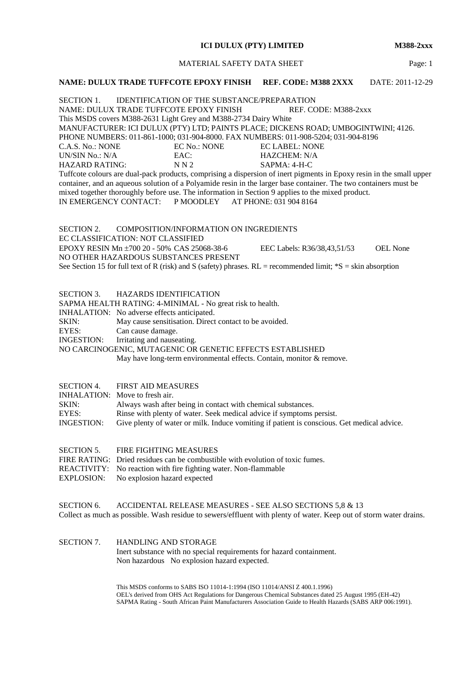#### **ICI DULUX (PTY) LIMITED M388-2xxx**

MATERIAL SAFETY DATA SHEET Page: 1

#### **NAME: DULUX TRADE TUFFCOTE EPOXY FINISH REF. CODE: M388 2XXX** DATE: 2011-12-29

SECTION 1. IDENTIFICATION OF THE SUBSTANCE/PREPARATION NAME: DULUX TRADE TUFFCOTE EPOXY FINISH REF. CODE: M388-2xxx This MSDS covers M388-2631 Light Grey and M388-2734 Dairy White MANUFACTURER: ICI DULUX (PTY) LTD; PAINTS PLACE; DICKENS ROAD; UMBOGINTWINI; 4126. PHONE NUMBERS: 011-861-1000; 031-904-8000. FAX NUMBERS: 011-908-5204; 031-904-8196 C.A.S. No.: NONE EC No.: NONE EC LABEL: NONE EC LABEL: NONE EC LABEL: NONE EAC: EAC: HAZCHEM: N/A<br>N N 2 SAPMA: 4-H-C  $HAZARD$ RATING: Tuffcote colours are dual-pack products, comprising a dispersion of inert pigments in Epoxy resin in the small upper container, and an aqueous solution of a Polyamide resin in the larger base container. The two containers must be mixed together thoroughly before use. The information in Section 9 applies to the mixed product. IN EMERGENCY CONTACT: P MOODLEY AT PHONE: 031 904 8164

SECTION 2. COMPOSITION/INFORMATION ON INGREDIENTS EC CLASSIFICATION: NOT CLASSIFIED EPOXY RESIN Mn ±700 20 - 50% CAS 25068-38-6 EEC Labels: R36/38,43,51/53 OEL None NO OTHER HAZARDOUS SUBSTANCES PRESENT See Section 15 for full text of R (risk) and S (safety) phrases.  $RL =$  recommended limit;  $*S =$  skin absorption

SECTION 3. HAZARDS IDENTIFICATION

SAPMA HEALTH RATING: 4-MINIMAL - No great risk to health.

INHALATION: No adverse effects anticipated.

SKIN: May cause sensitisation. Direct contact to be avoided.

EYES: Can cause damage.

INGESTION: Irritating and nauseating.

NO CARCINOGENIC, MUTAGENIC OR GENETIC EFFECTS ESTABLISHED

May have long-term environmental effects. Contain, monitor & remove.

- INHALATION: Move to fresh air.
- SKIN: Always wash after being in contact with chemical substances.
- EYES: Rinse with plenty of water. Seek medical advice if symptoms persist.
- INGESTION: Give plenty of water or milk. Induce vomiting if patient is conscious. Get medical advice.
- SECTION 5. FIRE FIGHTING MEASURES
- FIRE RATING: Dried residues can be combustible with evolution of toxic fumes.
- REACTIVITY: No reaction with fire fighting water. Non-flammable
- EXPLOSION: No explosion hazard expected

SECTION 6. ACCIDENTAL RELEASE MEASURES - SEE ALSO SECTIONS 5,8 & 13 Collect as much as possible. Wash residue to sewers/effluent with plenty of water. Keep out of storm water drains.

SECTION 7. HANDLING AND STORAGE Inert substance with no special requirements for hazard containment. Non hazardous No explosion hazard expected.

> This MSDS conforms to SABS ISO 11014-1:1994 (ISO 11014/ANSI Z 400.1.1996) OEL's derived from OHS Act Regulations for Dangerous Chemical Substances dated 25 August 1995 (EH-42) SAPMA Rating - South African Paint Manufacturers Association Guide to Health Hazards (SABS ARP 006:1991).